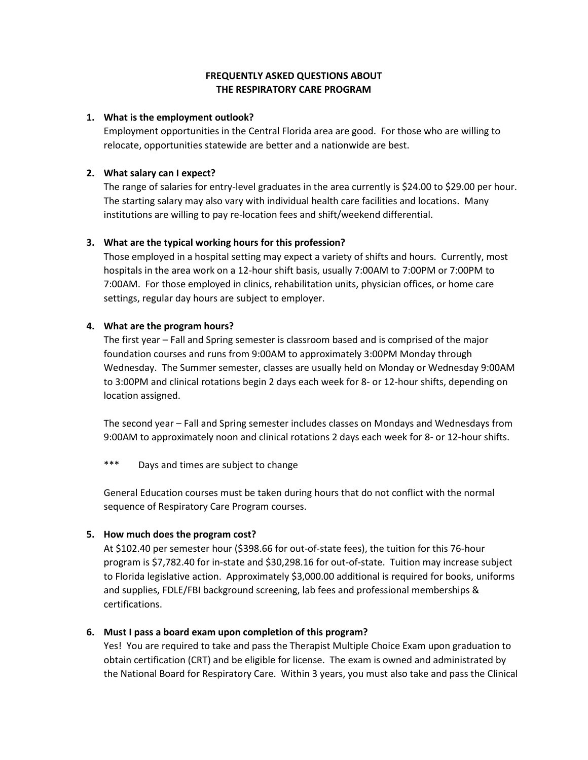# **FREQUENTLY ASKED QUESTIONS ABOUT THE RESPIRATORY CARE PROGRAM**

## **1. What is the employment outlook?**

Employment opportunities in the Central Florida area are good. For those who are willing to relocate, opportunities statewide are better and a nationwide are best.

# **2. What salary can I expect?**

The range of salaries for entry-level graduates in the area currently is \$24.00 to \$29.00 per hour. The starting salary may also vary with individual health care facilities and locations. Many institutions are willing to pay re-location fees and shift/weekend differential.

# **3. What are the typical working hours for this profession?**

Those employed in a hospital setting may expect a variety of shifts and hours. Currently, most hospitals in the area work on a 12-hour shift basis, usually 7:00AM to 7:00PM or 7:00PM to 7:00AM. For those employed in clinics, rehabilitation units, physician offices, or home care settings, regular day hours are subject to employer.

## **4. What are the program hours?**

The first year – Fall and Spring semester is classroom based and is comprised of the major foundation courses and runs from 9:00AM to approximately 3:00PM Monday through Wednesday. The Summer semester, classes are usually held on Monday or Wednesday 9:00AM to 3:00PM and clinical rotations begin 2 days each week for 8- or 12-hour shifts, depending on location assigned.

The second year – Fall and Spring semester includes classes on Mondays and Wednesdays from 9:00AM to approximately noon and clinical rotations 2 days each week for 8- or 12-hour shifts.

\*\*\* Days and times are subject to change

General Education courses must be taken during hours that do not conflict with the normal sequence of Respiratory Care Program courses.

### **5. How much does the program cost?**

At \$102.40 per semester hour (\$398.66 for out-of-state fees), the tuition for this 76-hour program is \$7,782.40 for in-state and \$30,298.16 for out-of-state. Tuition may increase subject to Florida legislative action. Approximately \$3,000.00 additional is required for books, uniforms and supplies, FDLE/FBI background screening, lab fees and professional memberships & certifications.

# **6. Must I pass a board exam upon completion of this program?**

Yes! You are required to take and pass the Therapist Multiple Choice Exam upon graduation to obtain certification (CRT) and be eligible for license. The exam is owned and administrated by the National Board for Respiratory Care. Within 3 years, you must also take and pass the Clinical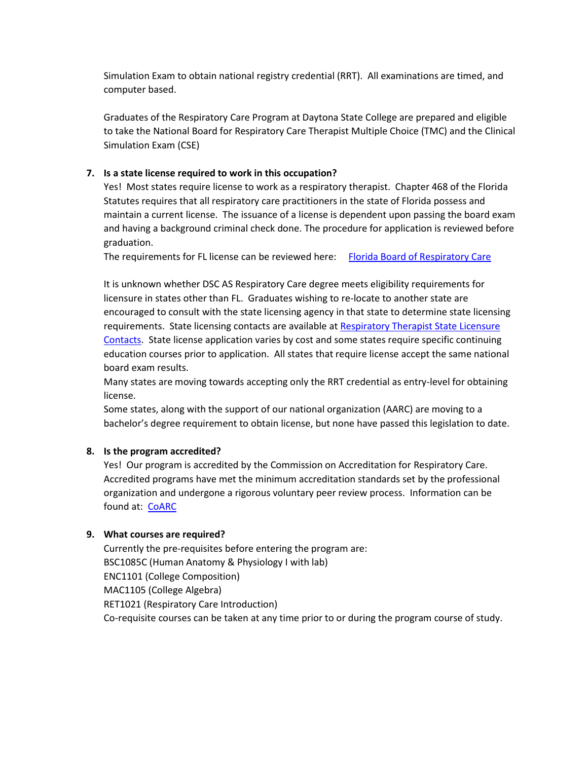Simulation Exam to obtain national registry credential (RRT). All examinations are timed, and computer based.

Graduates of the Respiratory Care Program at Daytona State College are prepared and eligible to take the National Board for Respiratory Care Therapist Multiple Choice (TMC) and the Clinical Simulation Exam (CSE)

# **7. Is a state license required to work in this occupation?**

Yes! Most states require license to work as a respiratory therapist. Chapter 468 of the Florida Statutes requires that all respiratory care practitioners in the state of Florida possess and maintain a current license. The issuance of a license is dependent upon passing the board exam and having a background criminal check done. The procedure for application is reviewed before graduation.

The requirements for FL license can be reviewed here: [Florida Board of Respiratory Care](https://floridasrespiratorycare.gov/licensing/)

It is unknown whether DSC AS Respiratory Care degree meets eligibility requirements for licensure in states other than FL. Graduates wishing to re-locate to another state are encouraged to consult with the state licensing agency in that state to determine state licensing requirements. State licensing contacts are available at [Respiratory Therapist State Licensure](https://www.aarc.org/advocacy/state-society-resources/state-licensure-contacts/)  [Contacts.](https://www.aarc.org/advocacy/state-society-resources/state-licensure-contacts/) State license application varies by cost and some states require specific continuing education courses prior to application. All states that require license accept the same national board exam results.

Many states are moving towards accepting only the RRT credential as entry-level for obtaining license.

Some states, along with the support of our national organization (AARC) are moving to a bachelor's degree requirement to obtain license, but none have passed this legislation to date.

### **8. Is the program accredited?**

Yes! Our program is accredited by the Commission on Accreditation for Respiratory Care. Accredited programs have met the minimum accreditation standards set by the professional organization and undergone a rigorous voluntary peer review process. Information can be found at: [CoARC](https://coarc.com/)

### **9. What courses are required?**

Currently the pre-requisites before entering the program are: BSC1085C (Human Anatomy & Physiology I with lab) ENC1101 (College Composition) MAC1105 (College Algebra) RET1021 (Respiratory Care Introduction) Co-requisite courses can be taken at any time prior to or during the program course of study.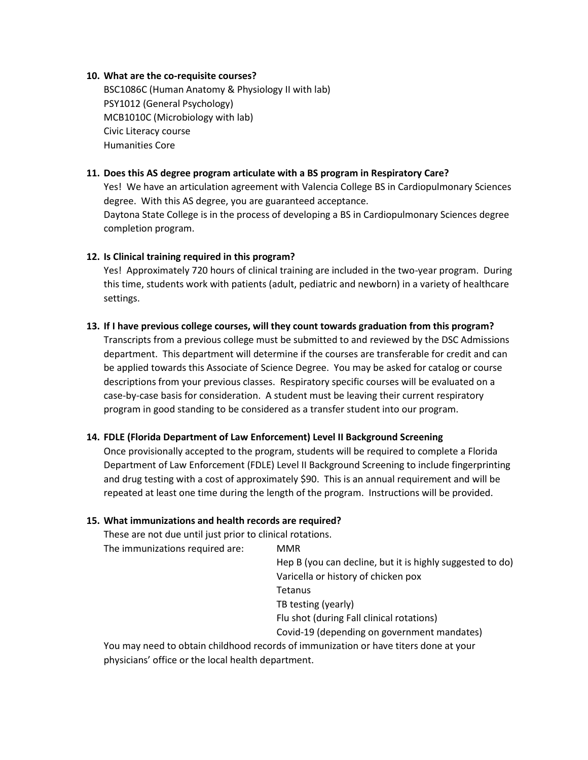### **10. What are the co-requisite courses?**

BSC1086C (Human Anatomy & Physiology II with lab) PSY1012 (General Psychology) MCB1010C (Microbiology with lab) Civic Literacy course Humanities Core

### **11. Does this AS degree program articulate with a BS program in Respiratory Care?**

Yes! We have an articulation agreement with Valencia College BS in Cardiopulmonary Sciences degree. With this AS degree, you are guaranteed acceptance. Daytona State College is in the process of developing a BS in Cardiopulmonary Sciences degree

completion program.

#### **12. Is Clinical training required in this program?**

Yes! Approximately 720 hours of clinical training are included in the two-year program. During this time, students work with patients (adult, pediatric and newborn) in a variety of healthcare settings.

#### **13. If I have previous college courses, will they count towards graduation from this program?**

Transcripts from a previous college must be submitted to and reviewed by the DSC Admissions department. This department will determine if the courses are transferable for credit and can be applied towards this Associate of Science Degree. You may be asked for catalog or course descriptions from your previous classes. Respiratory specific courses will be evaluated on a case-by-case basis for consideration. A student must be leaving their current respiratory program in good standing to be considered as a transfer student into our program.

### **14. FDLE (Florida Department of Law Enforcement) Level II Background Screening**

Once provisionally accepted to the program, students will be required to complete a Florida Department of Law Enforcement (FDLE) Level II Background Screening to include fingerprinting and drug testing with a cost of approximately \$90. This is an annual requirement and will be repeated at least one time during the length of the program. Instructions will be provided.

### **15. What immunizations and health records are required?**

These are not due until just prior to clinical rotations.

The immunizations required are: MMR

Hep B (you can decline, but it is highly suggested to do) Varicella or history of chicken pox

**Tetanus** 

TB testing (yearly)

Flu shot (during Fall clinical rotations)

Covid-19 (depending on government mandates)

You may need to obtain childhood records of immunization or have titers done at your physicians' office or the local health department.